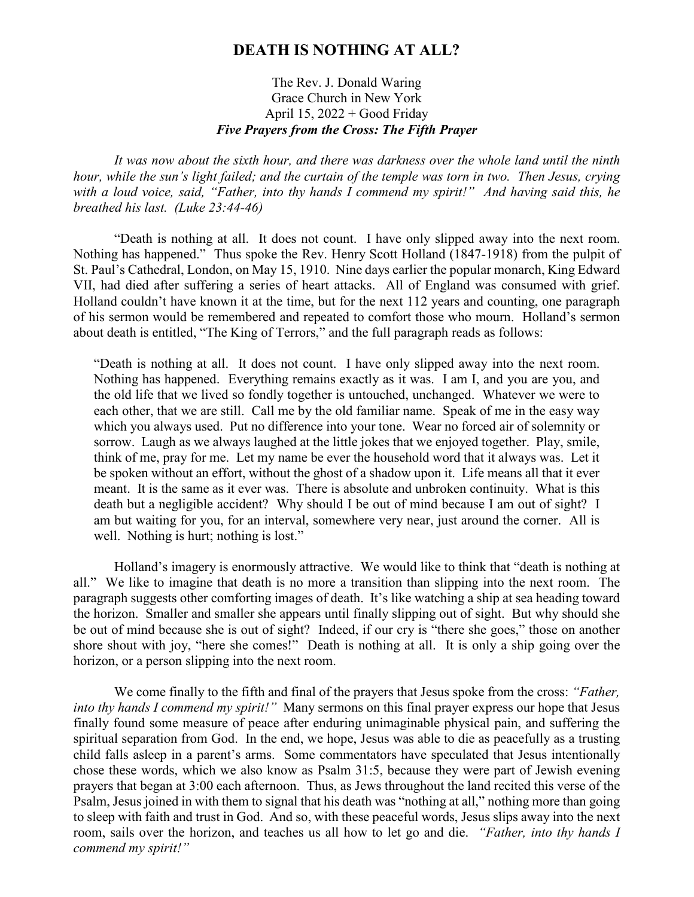## **DEATH IS NOTHING AT ALL?**

## The Rev. J. Donald Waring Grace Church in New York April 15,  $2022 + Good Friday$ *Five Prayers from the Cross: The Fifth Prayer*

*It was now about the sixth hour, and there was darkness over the whole land until the ninth hour, while the sun's light failed; and the curtain of the temple was torn in two. Then Jesus, crying with a loud voice, said, "Father, into thy hands I commend my spirit!" And having said this, he breathed his last. (Luke 23:44-46)*

"Death is nothing at all. It does not count. I have only slipped away into the next room. Nothing has happened." Thus spoke the Rev. Henry Scott Holland (1847-1918) from the pulpit of St. Paul's Cathedral, London, on May 15, 1910. Nine days earlier the popular monarch, King Edward VII, had died after suffering a series of heart attacks. All of England was consumed with grief. Holland couldn't have known it at the time, but for the next 112 years and counting, one paragraph of his sermon would be remembered and repeated to comfort those who mourn. Holland's sermon about death is entitled, "The King of Terrors," and the full paragraph reads as follows:

"Death is nothing at all. It does not count. I have only slipped away into the next room. Nothing has happened. Everything remains exactly as it was. I am I, and you are you, and the old life that we lived so fondly together is untouched, unchanged. Whatever we were to each other, that we are still. Call me by the old familiar name. Speak of me in the easy way which you always used. Put no difference into your tone. Wear no forced air of solemnity or sorrow. Laugh as we always laughed at the little jokes that we enjoyed together. Play, smile, think of me, pray for me. Let my name be ever the household word that it always was. Let it be spoken without an effort, without the ghost of a shadow upon it. Life means all that it ever meant. It is the same as it ever was. There is absolute and unbroken continuity. What is this death but a negligible accident? Why should I be out of mind because I am out of sight? I am but waiting for you, for an interval, somewhere very near, just around the corner. All is well. Nothing is hurt; nothing is lost."

Holland's imagery is enormously attractive. We would like to think that "death is nothing at all." We like to imagine that death is no more a transition than slipping into the next room. The paragraph suggests other comforting images of death. It's like watching a ship at sea heading toward the horizon. Smaller and smaller she appears until finally slipping out of sight. But why should she be out of mind because she is out of sight? Indeed, if our cry is "there she goes," those on another shore shout with joy, "here she comes!" Death is nothing at all. It is only a ship going over the horizon, or a person slipping into the next room.

We come finally to the fifth and final of the prayers that Jesus spoke from the cross: *"Father, into thy hands I commend my spirit!"* Many sermons on this final prayer express our hope that Jesus finally found some measure of peace after enduring unimaginable physical pain, and suffering the spiritual separation from God. In the end, we hope, Jesus was able to die as peacefully as a trusting child falls asleep in a parent's arms. Some commentators have speculated that Jesus intentionally chose these words, which we also know as Psalm 31:5, because they were part of Jewish evening prayers that began at 3:00 each afternoon. Thus, as Jews throughout the land recited this verse of the Psalm, Jesus joined in with them to signal that his death was "nothing at all," nothing more than going to sleep with faith and trust in God. And so, with these peaceful words, Jesus slips away into the next room, sails over the horizon, and teaches us all how to let go and die. *"Father, into thy hands I commend my spirit!"*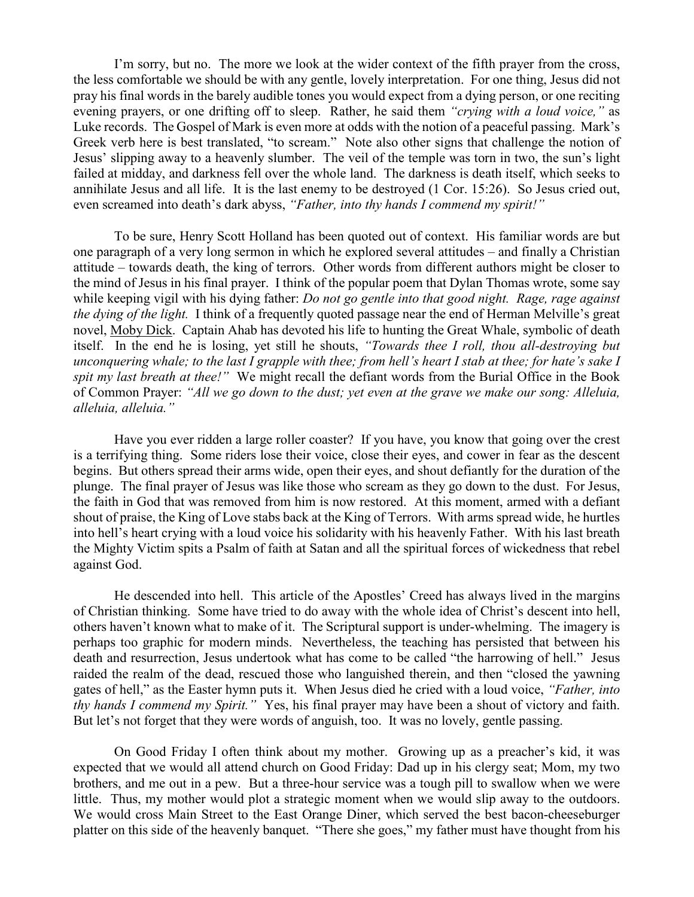I'm sorry, but no. The more we look at the wider context of the fifth prayer from the cross, the less comfortable we should be with any gentle, lovely interpretation. For one thing, Jesus did not pray his final words in the barely audible tones you would expect from a dying person, or one reciting evening prayers, or one drifting off to sleep. Rather, he said them *"crying with a loud voice,"* as Luke records. The Gospel of Mark is even more at odds with the notion of a peaceful passing. Mark's Greek verb here is best translated, "to scream." Note also other signs that challenge the notion of Jesus' slipping away to a heavenly slumber. The veil of the temple was torn in two, the sun's light failed at midday, and darkness fell over the whole land. The darkness is death itself, which seeks to annihilate Jesus and all life. It is the last enemy to be destroyed (1 Cor. 15:26). So Jesus cried out, even screamed into death's dark abyss, *"Father, into thy hands I commend my spirit!"* 

To be sure, Henry Scott Holland has been quoted out of context. His familiar words are but one paragraph of a very long sermon in which he explored several attitudes – and finally a Christian attitude – towards death, the king of terrors. Other words from different authors might be closer to the mind of Jesus in his final prayer. I think of the popular poem that Dylan Thomas wrote, some say while keeping vigil with his dying father: *Do not go gentle into that good night. Rage, rage against the dying of the light.* I think of a frequently quoted passage near the end of Herman Melville's great novel, Moby Dick. Captain Ahab has devoted his life to hunting the Great Whale, symbolic of death itself. In the end he is losing, yet still he shouts, *"Towards thee I roll, thou all-destroying but unconquering whale; to the last I grapple with thee; from hell's heart I stab at thee; for hate's sake I spit my last breath at thee!"* We might recall the defiant words from the Burial Office in the Book of Common Prayer: *"All we go down to the dust; yet even at the grave we make our song: Alleluia, alleluia, alleluia."* 

Have you ever ridden a large roller coaster? If you have, you know that going over the crest is a terrifying thing. Some riders lose their voice, close their eyes, and cower in fear as the descent begins. But others spread their arms wide, open their eyes, and shout defiantly for the duration of the plunge. The final prayer of Jesus was like those who scream as they go down to the dust. For Jesus, the faith in God that was removed from him is now restored. At this moment, armed with a defiant shout of praise, the King of Love stabs back at the King of Terrors. With arms spread wide, he hurtles into hell's heart crying with a loud voice his solidarity with his heavenly Father. With his last breath the Mighty Victim spits a Psalm of faith at Satan and all the spiritual forces of wickedness that rebel against God.

He descended into hell. This article of the Apostles' Creed has always lived in the margins of Christian thinking. Some have tried to do away with the whole idea of Christ's descent into hell, others haven't known what to make of it. The Scriptural support is under-whelming. The imagery is perhaps too graphic for modern minds. Nevertheless, the teaching has persisted that between his death and resurrection, Jesus undertook what has come to be called "the harrowing of hell." Jesus raided the realm of the dead, rescued those who languished therein, and then "closed the yawning gates of hell," as the Easter hymn puts it. When Jesus died he cried with a loud voice, *"Father, into thy hands I commend my Spirit."* Yes, his final prayer may have been a shout of victory and faith. But let's not forget that they were words of anguish, too. It was no lovely, gentle passing.

On Good Friday I often think about my mother. Growing up as a preacher's kid, it was expected that we would all attend church on Good Friday: Dad up in his clergy seat; Mom, my two brothers, and me out in a pew. But a three-hour service was a tough pill to swallow when we were little. Thus, my mother would plot a strategic moment when we would slip away to the outdoors. We would cross Main Street to the East Orange Diner, which served the best bacon-cheeseburger platter on this side of the heavenly banquet. "There she goes," my father must have thought from his